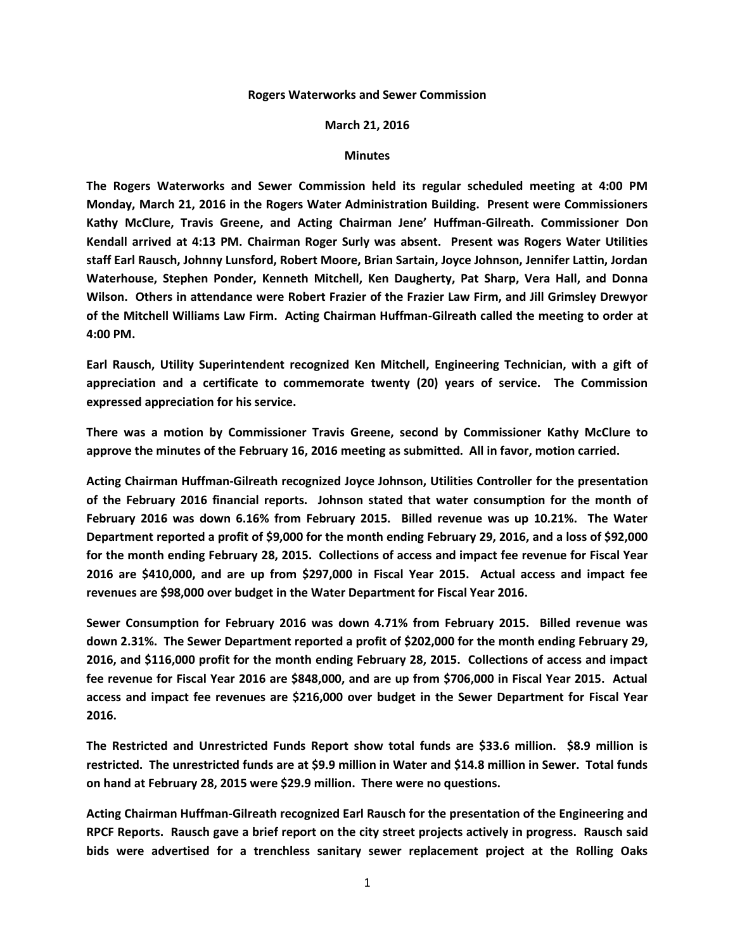## **Rogers Waterworks and Sewer Commission**

## **March 21, 2016**

## **Minutes**

**The Rogers Waterworks and Sewer Commission held its regular scheduled meeting at 4:00 PM Monday, March 21, 2016 in the Rogers Water Administration Building. Present were Commissioners Kathy McClure, Travis Greene, and Acting Chairman Jene' Huffman-Gilreath. Commissioner Don Kendall arrived at 4:13 PM. Chairman Roger Surly was absent. Present was Rogers Water Utilities staff Earl Rausch, Johnny Lunsford, Robert Moore, Brian Sartain, Joyce Johnson, Jennifer Lattin, Jordan Waterhouse, Stephen Ponder, Kenneth Mitchell, Ken Daugherty, Pat Sharp, Vera Hall, and Donna Wilson. Others in attendance were Robert Frazier of the Frazier Law Firm, and Jill Grimsley Drewyor of the Mitchell Williams Law Firm. Acting Chairman Huffman-Gilreath called the meeting to order at 4:00 PM.**

**Earl Rausch, Utility Superintendent recognized Ken Mitchell, Engineering Technician, with a gift of appreciation and a certificate to commemorate twenty (20) years of service. The Commission expressed appreciation for his service.**

**There was a motion by Commissioner Travis Greene, second by Commissioner Kathy McClure to approve the minutes of the February 16, 2016 meeting as submitted. All in favor, motion carried.**

**Acting Chairman Huffman-Gilreath recognized Joyce Johnson, Utilities Controller for the presentation of the February 2016 financial reports. Johnson stated that water consumption for the month of February 2016 was down 6.16% from February 2015. Billed revenue was up 10.21%. The Water Department reported a profit of \$9,000 for the month ending February 29, 2016, and a loss of \$92,000 for the month ending February 28, 2015. Collections of access and impact fee revenue for Fiscal Year 2016 are \$410,000, and are up from \$297,000 in Fiscal Year 2015. Actual access and impact fee revenues are \$98,000 over budget in the Water Department for Fiscal Year 2016.**

**Sewer Consumption for February 2016 was down 4.71% from February 2015. Billed revenue was down 2.31%. The Sewer Department reported a profit of \$202,000 for the month ending February 29, 2016, and \$116,000 profit for the month ending February 28, 2015. Collections of access and impact fee revenue for Fiscal Year 2016 are \$848,000, and are up from \$706,000 in Fiscal Year 2015. Actual access and impact fee revenues are \$216,000 over budget in the Sewer Department for Fiscal Year 2016.**

**The Restricted and Unrestricted Funds Report show total funds are \$33.6 million. \$8.9 million is restricted. The unrestricted funds are at \$9.9 million in Water and \$14.8 million in Sewer. Total funds on hand at February 28, 2015 were \$29.9 million. There were no questions.**

**Acting Chairman Huffman-Gilreath recognized Earl Rausch for the presentation of the Engineering and RPCF Reports. Rausch gave a brief report on the city street projects actively in progress. Rausch said bids were advertised for a trenchless sanitary sewer replacement project at the Rolling Oaks**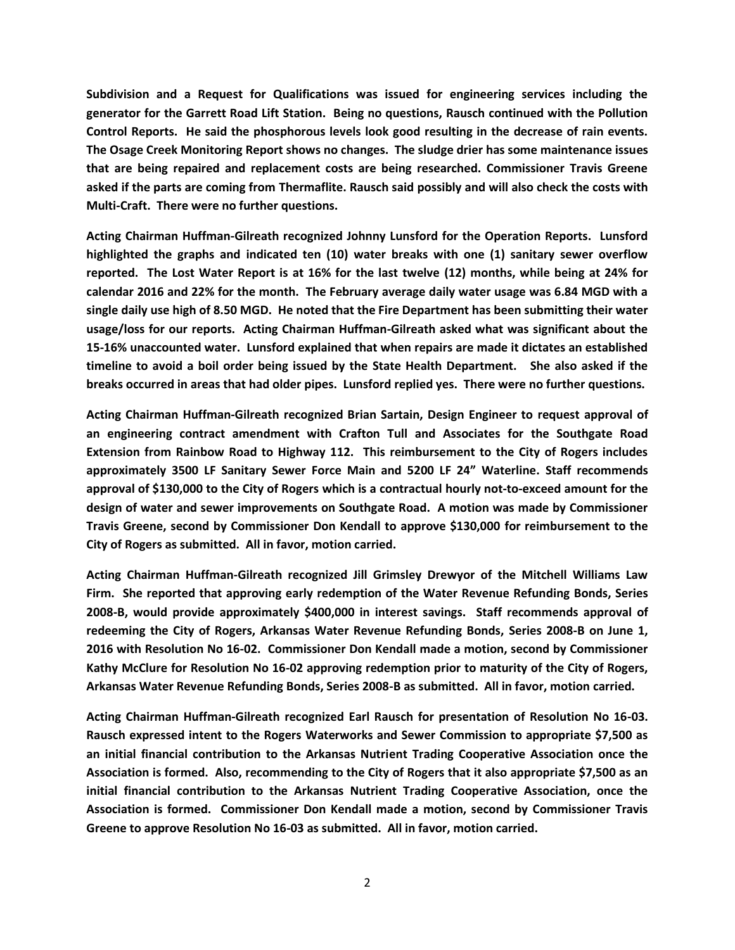**Subdivision and a Request for Qualifications was issued for engineering services including the generator for the Garrett Road Lift Station. Being no questions, Rausch continued with the Pollution Control Reports. He said the phosphorous levels look good resulting in the decrease of rain events. The Osage Creek Monitoring Report shows no changes. The sludge drier has some maintenance issues that are being repaired and replacement costs are being researched. Commissioner Travis Greene asked if the parts are coming from Thermaflite. Rausch said possibly and will also check the costs with Multi-Craft. There were no further questions.**

**Acting Chairman Huffman-Gilreath recognized Johnny Lunsford for the Operation Reports. Lunsford highlighted the graphs and indicated ten (10) water breaks with one (1) sanitary sewer overflow reported. The Lost Water Report is at 16% for the last twelve (12) months, while being at 24% for calendar 2016 and 22% for the month. The February average daily water usage was 6.84 MGD with a single daily use high of 8.50 MGD. He noted that the Fire Department has been submitting their water usage/loss for our reports. Acting Chairman Huffman-Gilreath asked what was significant about the 15-16% unaccounted water. Lunsford explained that when repairs are made it dictates an established timeline to avoid a boil order being issued by the State Health Department. She also asked if the breaks occurred in areas that had older pipes. Lunsford replied yes. There were no further questions.**

**Acting Chairman Huffman-Gilreath recognized Brian Sartain, Design Engineer to request approval of an engineering contract amendment with Crafton Tull and Associates for the Southgate Road Extension from Rainbow Road to Highway 112. This reimbursement to the City of Rogers includes approximately 3500 LF Sanitary Sewer Force Main and 5200 LF 24" Waterline. Staff recommends approval of \$130,000 to the City of Rogers which is a contractual hourly not-to-exceed amount for the design of water and sewer improvements on Southgate Road. A motion was made by Commissioner Travis Greene, second by Commissioner Don Kendall to approve \$130,000 for reimbursement to the City of Rogers as submitted. All in favor, motion carried.**

**Acting Chairman Huffman-Gilreath recognized Jill Grimsley Drewyor of the Mitchell Williams Law Firm. She reported that approving early redemption of the Water Revenue Refunding Bonds, Series 2008-B, would provide approximately \$400,000 in interest savings. Staff recommends approval of redeeming the City of Rogers, Arkansas Water Revenue Refunding Bonds, Series 2008-B on June 1, 2016 with Resolution No 16-02. Commissioner Don Kendall made a motion, second by Commissioner Kathy McClure for Resolution No 16-02 approving redemption prior to maturity of the City of Rogers, Arkansas Water Revenue Refunding Bonds, Series 2008-B as submitted. All in favor, motion carried.**

**Acting Chairman Huffman-Gilreath recognized Earl Rausch for presentation of Resolution No 16-03. Rausch expressed intent to the Rogers Waterworks and Sewer Commission to appropriate \$7,500 as an initial financial contribution to the Arkansas Nutrient Trading Cooperative Association once the Association is formed. Also, recommending to the City of Rogers that it also appropriate \$7,500 as an initial financial contribution to the Arkansas Nutrient Trading Cooperative Association, once the Association is formed. Commissioner Don Kendall made a motion, second by Commissioner Travis Greene to approve Resolution No 16-03 as submitted. All in favor, motion carried.**